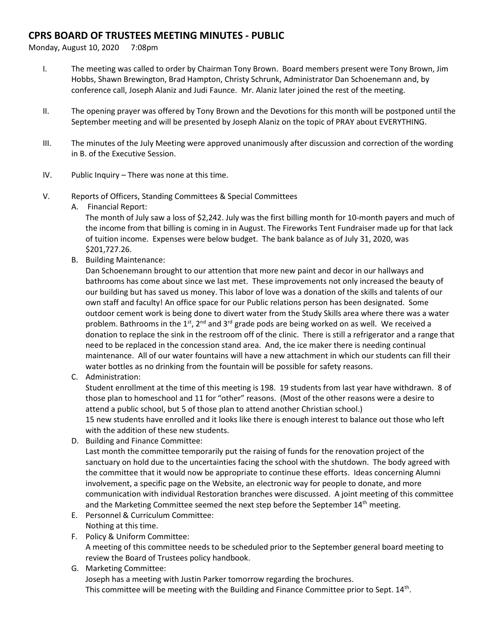## **CPRS BOARD OF TRUSTEES MEETING MINUTES - PUBLIC**

Monday, August 10, 2020 7:08pm

- I. The meeting was called to order by Chairman Tony Brown. Board members present were Tony Brown, Jim Hobbs, Shawn Brewington, Brad Hampton, Christy Schrunk, Administrator Dan Schoenemann and, by conference call, Joseph Alaniz and Judi Faunce. Mr. Alaniz later joined the rest of the meeting.
- II. The opening prayer was offered by Tony Brown and the Devotions for this month will be postponed until the September meeting and will be presented by Joseph Alaniz on the topic of PRAY about EVERYTHING.
- III. The minutes of the July Meeting were approved unanimously after discussion and correction of the wording in B. of the Executive Session.
- IV. Public Inquiry There was none at this time.
- V. Reports of Officers, Standing Committees & Special Committees
	- A. Financial Report:

The month of July saw a loss of \$2,242. July was the first billing month for 10-month payers and much of the income from that billing is coming in in August. The Fireworks Tent Fundraiser made up for that lack of tuition income. Expenses were below budget. The bank balance as of July 31, 2020, was \$201,727.26.

B. Building Maintenance:

Dan Schoenemann brought to our attention that more new paint and decor in our hallways and bathrooms has come about since we last met. These improvements not only increased the beauty of our building but has saved us money. This labor of love was a donation of the skills and talents of our own staff and faculty! An office space for our Public relations person has been designated. Some outdoor cement work is being done to divert water from the Study Skills area where there was a water problem. Bathrooms in the 1st,  $2^{nd}$  and 3<sup>rd</sup> grade pods are being worked on as well. We received a donation to replace the sink in the restroom off of the clinic. There is still a refrigerator and a range that need to be replaced in the concession stand area. And, the ice maker there is needing continual maintenance. All of our water fountains will have a new attachment in which our students can fill their water bottles as no drinking from the fountain will be possible for safety reasons.

C. Administration:

Student enrollment at the time of this meeting is 198. 19 students from last year have withdrawn. 8 of those plan to homeschool and 11 for "other" reasons. (Most of the other reasons were a desire to attend a public school, but 5 of those plan to attend another Christian school.) 15 new students have enrolled and it looks like there is enough interest to balance out those who left with the addition of these new students.

D. Building and Finance Committee:

Last month the committee temporarily put the raising of funds for the renovation project of the sanctuary on hold due to the uncertainties facing the school with the shutdown. The body agreed with the committee that it would now be appropriate to continue these efforts. Ideas concerning Alumni involvement, a specific page on the Website, an electronic way for people to donate, and more communication with individual Restoration branches were discussed. A joint meeting of this committee and the Marketing Committee seemed the next step before the September 14<sup>th</sup> meeting.

- E. Personnel & Curriculum Committee: Nothing at this time.
- F. Policy & Uniform Committee: A meeting of this committee needs to be scheduled prior to the September general board meeting to review the Board of Trustees policy handbook.
- G. Marketing Committee: Joseph has a meeting with Justin Parker tomorrow regarding the brochures. This committee will be meeting with the Building and Finance Committee prior to Sept.  $14^{\text{th}}$ .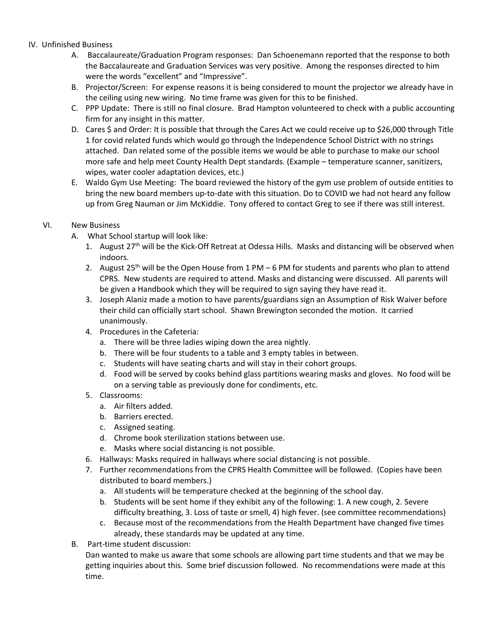## IV. Unfinished Business

- A. Baccalaureate/Graduation Program responses: Dan Schoenemann reported that the response to both the Baccalaureate and Graduation Services was very positive. Among the responses directed to him were the words "excellent" and "Impressive".
- B. Projector/Screen: For expense reasons it is being considered to mount the projector we already have in the ceiling using new wiring. No time frame was given for this to be finished.
- C. PPP Update: There is still no final closure. Brad Hampton volunteered to check with a public accounting firm for any insight in this matter.
- D. Cares \$ and Order: It is possible that through the Cares Act we could receive up to \$26,000 through Title 1 for covid related funds which would go through the Independence School District with no strings attached. Dan related some of the possible items we would be able to purchase to make our school more safe and help meet County Health Dept standards. (Example – temperature scanner, sanitizers, wipes, water cooler adaptation devices, etc.)
- E. Waldo Gym Use Meeting: The board reviewed the history of the gym use problem of outside entities to bring the new board members up-to-date with this situation. Do to COVID we had not heard any follow up from Greg Nauman or Jim McKiddie. Tony offered to contact Greg to see if there was still interest.

## VI. New Business

- A. What School startup will look like:
	- 1. August  $27<sup>th</sup>$  will be the Kick-Off Retreat at Odessa Hills. Masks and distancing will be observed when indoors.
	- 2. August 25<sup>th</sup> will be the Open House from 1 PM 6 PM for students and parents who plan to attend CPRS. New students are required to attend. Masks and distancing were discussed. All parents will be given a Handbook which they will be required to sign saying they have read it.
	- 3. Joseph Alaniz made a motion to have parents/guardians sign an Assumption of Risk Waiver before their child can officially start school. Shawn Brewington seconded the motion. It carried unanimously.
	- 4. Procedures in the Cafeteria:
		- a. There will be three ladies wiping down the area nightly.
		- b. There will be four students to a table and 3 empty tables in between.
		- c. Students will have seating charts and will stay in their cohort groups.
		- d. Food will be served by cooks behind glass partitions wearing masks and gloves. No food will be on a serving table as previously done for condiments, etc.
	- 5. Classrooms:
		- a. Air filters added.
		- b. Barriers erected.
		- c. Assigned seating.
		- d. Chrome book sterilization stations between use.
		- e. Masks where social distancing is not possible.
	- 6. Hallways: Masks required in hallways where social distancing is not possible.
	- 7. Further recommendations from the CPRS Health Committee will be followed. (Copies have been distributed to board members.)
		- a. All students will be temperature checked at the beginning of the school day.
		- b. Students will be sent home if they exhibit any of the following: 1. A new cough, 2. Severe difficulty breathing, 3. Loss of taste or smell, 4) high fever. (see committee recommendations)
		- c. Because most of the recommendations from the Health Department have changed five times already, these standards may be updated at any time.
- B. Part-time student discussion:

Dan wanted to make us aware that some schools are allowing part time students and that we may be getting inquiries about this. Some brief discussion followed. No recommendations were made at this time.